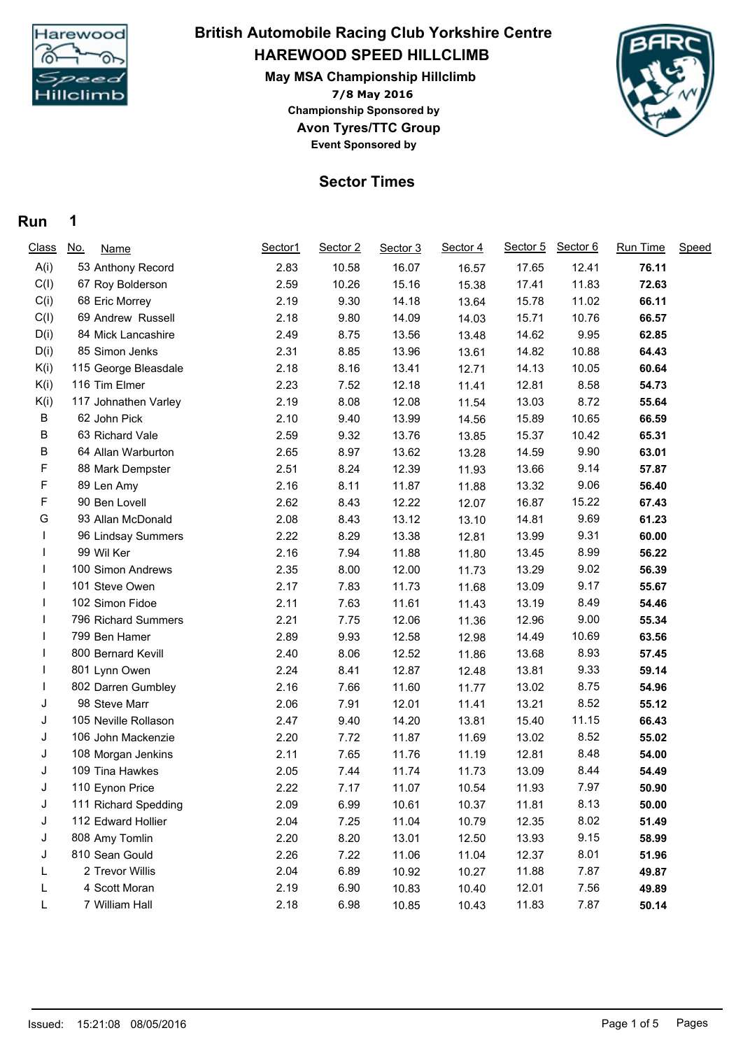

## **HAREWOOD SPEED HILLCLIMB British Automobile Racing Club Yorkshire Centre**

**7/8 May 2016 May MSA Championship Hillclimb Avon Tyres/TTC Group Event Sponsored by Championship Sponsored by**



## **Sector Times**

## **Run 1**

| <b>Class</b> | <u>No.</u><br><b>Name</b> | Sector1 | Sector 2 | Sector 3 | Sector 4 | Sector 5 | Sector 6 | Run Time | Speed |
|--------------|---------------------------|---------|----------|----------|----------|----------|----------|----------|-------|
| A(i)         | 53 Anthony Record         | 2.83    | 10.58    | 16.07    | 16.57    | 17.65    | 12.41    | 76.11    |       |
| C(I)         | 67 Roy Bolderson          | 2.59    | 10.26    | 15.16    | 15.38    | 17.41    | 11.83    | 72.63    |       |
| C(i)         | 68 Eric Morrey            | 2.19    | 9.30     | 14.18    | 13.64    | 15.78    | 11.02    | 66.11    |       |
| C(I)         | 69 Andrew Russell         | 2.18    | 9.80     | 14.09    | 14.03    | 15.71    | 10.76    | 66.57    |       |
| D(i)         | 84 Mick Lancashire        | 2.49    | 8.75     | 13.56    | 13.48    | 14.62    | 9.95     | 62.85    |       |
| D(i)         | 85 Simon Jenks            | 2.31    | 8.85     | 13.96    | 13.61    | 14.82    | 10.88    | 64.43    |       |
| K(i)         | 115 George Bleasdale      | 2.18    | 8.16     | 13.41    | 12.71    | 14.13    | 10.05    | 60.64    |       |
| K(i)         | 116 Tim Elmer             | 2.23    | 7.52     | 12.18    | 11.41    | 12.81    | 8.58     | 54.73    |       |
| K(i)         | 117 Johnathen Varley      | 2.19    | 8.08     | 12.08    | 11.54    | 13.03    | 8.72     | 55.64    |       |
| В            | 62 John Pick              | 2.10    | 9.40     | 13.99    | 14.56    | 15.89    | 10.65    | 66.59    |       |
| В            | 63 Richard Vale           | 2.59    | 9.32     | 13.76    | 13.85    | 15.37    | 10.42    | 65.31    |       |
| В            | 64 Allan Warburton        | 2.65    | 8.97     | 13.62    | 13.28    | 14.59    | 9.90     | 63.01    |       |
| F            | 88 Mark Dempster          | 2.51    | 8.24     | 12.39    | 11.93    | 13.66    | 9.14     | 57.87    |       |
| F            | 89 Len Amy                | 2.16    | 8.11     | 11.87    | 11.88    | 13.32    | 9.06     | 56.40    |       |
| F            | 90 Ben Lovell             | 2.62    | 8.43     | 12.22    | 12.07    | 16.87    | 15.22    | 67.43    |       |
| G            | 93 Allan McDonald         | 2.08    | 8.43     | 13.12    | 13.10    | 14.81    | 9.69     | 61.23    |       |
|              | 96 Lindsay Summers        | 2.22    | 8.29     | 13.38    | 12.81    | 13.99    | 9.31     | 60.00    |       |
|              | 99 Wil Ker                | 2.16    | 7.94     | 11.88    | 11.80    | 13.45    | 8.99     | 56.22    |       |
|              | 100 Simon Andrews         | 2.35    | 8.00     | 12.00    | 11.73    | 13.29    | 9.02     | 56.39    |       |
|              | 101 Steve Owen            | 2.17    | 7.83     | 11.73    | 11.68    | 13.09    | 9.17     | 55.67    |       |
|              | 102 Simon Fidoe           | 2.11    | 7.63     | 11.61    | 11.43    | 13.19    | 8.49     | 54.46    |       |
|              | 796 Richard Summers       | 2.21    | 7.75     | 12.06    | 11.36    | 12.96    | 9.00     | 55.34    |       |
|              | 799 Ben Hamer             | 2.89    | 9.93     | 12.58    | 12.98    | 14.49    | 10.69    | 63.56    |       |
|              | 800 Bernard Kevill        | 2.40    | 8.06     | 12.52    | 11.86    | 13.68    | 8.93     | 57.45    |       |
|              | 801 Lynn Owen             | 2.24    | 8.41     | 12.87    | 12.48    | 13.81    | 9.33     | 59.14    |       |
|              | 802 Darren Gumbley        | 2.16    | 7.66     | 11.60    | 11.77    | 13.02    | 8.75     | 54.96    |       |
| J            | 98 Steve Marr             | 2.06    | 7.91     | 12.01    | 11.41    | 13.21    | 8.52     | 55.12    |       |
| J            | 105 Neville Rollason      | 2.47    | 9.40     | 14.20    | 13.81    | 15.40    | 11.15    | 66.43    |       |
| J            | 106 John Mackenzie        | 2.20    | 7.72     | 11.87    | 11.69    | 13.02    | 8.52     | 55.02    |       |
| J            | 108 Morgan Jenkins        | 2.11    | 7.65     | 11.76    | 11.19    | 12.81    | 8.48     | 54.00    |       |
| J            | 109 Tina Hawkes           | 2.05    | 7.44     | 11.74    | 11.73    | 13.09    | 8.44     | 54.49    |       |
| J            | 110 Eynon Price           | 2.22    | 7.17     | 11.07    | 10.54    | 11.93    | 7.97     | 50.90    |       |
| J            | 111 Richard Spedding      | 2.09    | 6.99     | 10.61    | 10.37    | 11.81    | 8.13     | 50.00    |       |
| J            | 112 Edward Hollier        | 2.04    | 7.25     | 11.04    | 10.79    | 12.35    | 8.02     | 51.49    |       |
| J            | 808 Amy Tomlin            | 2.20    | 8.20     | 13.01    | 12.50    | 13.93    | 9.15     | 58.99    |       |
| J            | 810 Sean Gould            | 2.26    | 7.22     | 11.06    | 11.04    | 12.37    | 8.01     | 51.96    |       |
|              | 2 Trevor Willis           | 2.04    | 6.89     | 10.92    | 10.27    | 11.88    | 7.87     | 49.87    |       |
| L            | 4 Scott Moran             | 2.19    | 6.90     | 10.83    | 10.40    | 12.01    | 7.56     | 49.89    |       |
| L            | 7 William Hall            | 2.18    | 6.98     | 10.85    | 10.43    | 11.83    | 7.87     | 50.14    |       |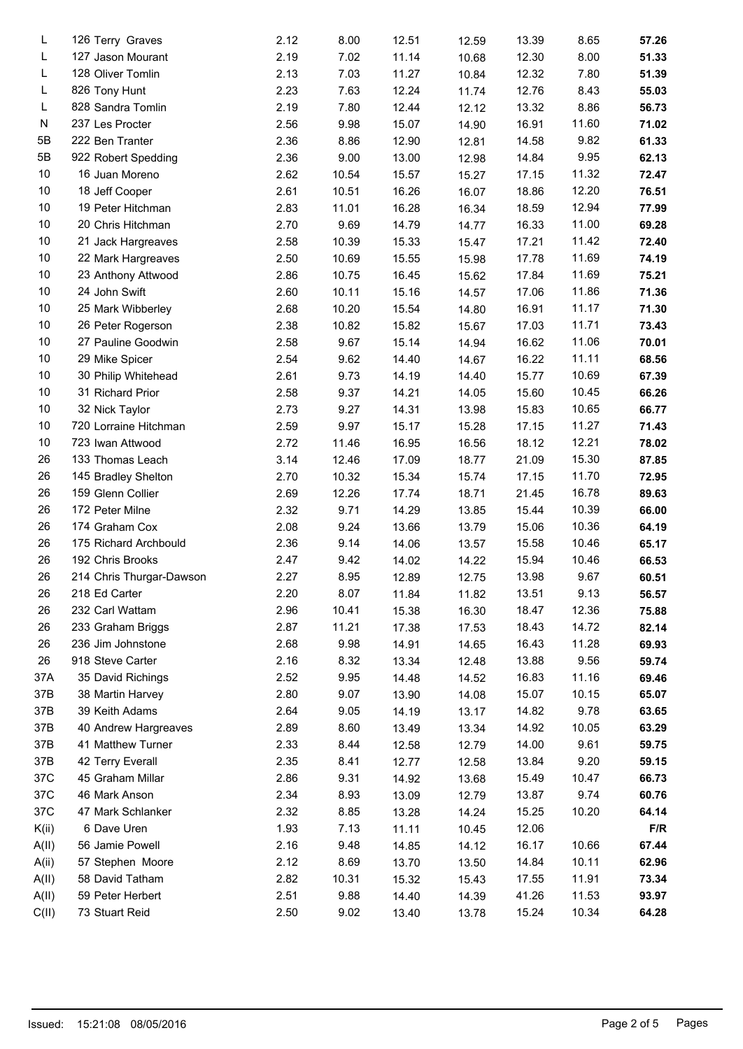| L     | 126 Terry Graves         | 2.12 | 8.00  | 12.51 | 12.59 | 13.39 | 8.65  | 57.26 |
|-------|--------------------------|------|-------|-------|-------|-------|-------|-------|
| L     | 127 Jason Mourant        | 2.19 | 7.02  | 11.14 | 10.68 | 12.30 | 8.00  | 51.33 |
| L     | 128 Oliver Tomlin        | 2.13 | 7.03  | 11.27 | 10.84 | 12.32 | 7.80  | 51.39 |
| L     | 826 Tony Hunt            | 2.23 | 7.63  | 12.24 | 11.74 | 12.76 | 8.43  | 55.03 |
| L     | 828 Sandra Tomlin        | 2.19 | 7.80  | 12.44 | 12.12 | 13.32 | 8.86  | 56.73 |
| N     | 237 Les Procter          | 2.56 | 9.98  | 15.07 | 14.90 | 16.91 | 11.60 | 71.02 |
| 5B    | 222 Ben Tranter          | 2.36 | 8.86  | 12.90 | 12.81 | 14.58 | 9.82  | 61.33 |
| 5B    | 922 Robert Spedding      | 2.36 | 9.00  | 13.00 | 12.98 | 14.84 | 9.95  | 62.13 |
| 10    | 16 Juan Moreno           | 2.62 | 10.54 | 15.57 | 15.27 | 17.15 | 11.32 | 72.47 |
| 10    | 18 Jeff Cooper           | 2.61 | 10.51 | 16.26 | 16.07 | 18.86 | 12.20 | 76.51 |
| 10    | 19 Peter Hitchman        | 2.83 | 11.01 | 16.28 | 16.34 | 18.59 | 12.94 | 77.99 |
| 10    | 20 Chris Hitchman        | 2.70 | 9.69  | 14.79 | 14.77 | 16.33 | 11.00 | 69.28 |
| 10    | 21 Jack Hargreaves       | 2.58 | 10.39 | 15.33 | 15.47 | 17.21 | 11.42 | 72.40 |
| 10    | 22 Mark Hargreaves       | 2.50 | 10.69 | 15.55 | 15.98 | 17.78 | 11.69 | 74.19 |
| 10    | 23 Anthony Attwood       | 2.86 | 10.75 | 16.45 | 15.62 | 17.84 | 11.69 | 75.21 |
| 10    | 24 John Swift            | 2.60 | 10.11 | 15.16 | 14.57 | 17.06 | 11.86 | 71.36 |
| 10    | 25 Mark Wibberley        | 2.68 | 10.20 | 15.54 | 14.80 | 16.91 | 11.17 | 71.30 |
| 10    | 26 Peter Rogerson        | 2.38 | 10.82 | 15.82 | 15.67 | 17.03 | 11.71 | 73.43 |
| 10    | 27 Pauline Goodwin       | 2.58 | 9.67  | 15.14 | 14.94 | 16.62 | 11.06 | 70.01 |
| 10    | 29 Mike Spicer           | 2.54 | 9.62  | 14.40 | 14.67 | 16.22 | 11.11 | 68.56 |
| 10    | 30 Philip Whitehead      | 2.61 | 9.73  | 14.19 | 14.40 | 15.77 | 10.69 | 67.39 |
| 10    | 31 Richard Prior         | 2.58 | 9.37  | 14.21 | 14.05 | 15.60 | 10.45 | 66.26 |
| 10    | 32 Nick Taylor           | 2.73 | 9.27  | 14.31 | 13.98 | 15.83 | 10.65 | 66.77 |
| 10    | 720 Lorraine Hitchman    | 2.59 | 9.97  | 15.17 | 15.28 | 17.15 | 11.27 | 71.43 |
| 10    | 723 Iwan Attwood         | 2.72 | 11.46 | 16.95 | 16.56 | 18.12 | 12.21 | 78.02 |
| 26    | 133 Thomas Leach         | 3.14 | 12.46 | 17.09 | 18.77 | 21.09 | 15.30 | 87.85 |
| 26    | 145 Bradley Shelton      | 2.70 | 10.32 | 15.34 | 15.74 | 17.15 | 11.70 | 72.95 |
| 26    | 159 Glenn Collier        | 2.69 | 12.26 | 17.74 |       | 21.45 | 16.78 | 89.63 |
| 26    | 172 Peter Milne          | 2.32 | 9.71  | 14.29 | 18.71 | 15.44 | 10.39 | 66.00 |
|       |                          |      |       |       | 13.85 |       | 10.36 |       |
| 26    | 174 Graham Cox           | 2.08 | 9.24  | 13.66 | 13.79 | 15.06 |       | 64.19 |
| 26    | 175 Richard Archbould    | 2.36 | 9.14  | 14.06 | 13.57 | 15.58 | 10.46 | 65.17 |
| 26    | 192 Chris Brooks         | 2.47 | 9.42  | 14.02 | 14.22 | 15.94 | 10.46 | 66.53 |
| 26    | 214 Chris Thurgar-Dawson | 2.27 | 8.95  | 12.89 | 12.75 | 13.98 | 9.67  | 60.51 |
| 26    | 218 Ed Carter            | 2.20 | 8.07  | 11.84 | 11.82 | 13.51 | 9.13  | 56.57 |
| 26    | 232 Carl Wattam          | 2.96 | 10.41 | 15.38 | 16.30 | 18.47 | 12.36 | 75.88 |
| 26    | 233 Graham Briggs        | 2.87 | 11.21 | 17.38 | 17.53 | 18.43 | 14.72 | 82.14 |
| 26    | 236 Jim Johnstone        | 2.68 | 9.98  | 14.91 | 14.65 | 16.43 | 11.28 | 69.93 |
| 26    | 918 Steve Carter         | 2.16 | 8.32  | 13.34 | 12.48 | 13.88 | 9.56  | 59.74 |
| 37A   | 35 David Richings        | 2.52 | 9.95  | 14.48 | 14.52 | 16.83 | 11.16 | 69.46 |
| 37B   | 38 Martin Harvey         | 2.80 | 9.07  | 13.90 | 14.08 | 15.07 | 10.15 | 65.07 |
| 37B   | 39 Keith Adams           | 2.64 | 9.05  | 14.19 | 13.17 | 14.82 | 9.78  | 63.65 |
| 37B   | 40 Andrew Hargreaves     | 2.89 | 8.60  | 13.49 | 13.34 | 14.92 | 10.05 | 63.29 |
| 37B   | 41 Matthew Turner        | 2.33 | 8.44  | 12.58 | 12.79 | 14.00 | 9.61  | 59.75 |
| 37B   | 42 Terry Everall         | 2.35 | 8.41  | 12.77 | 12.58 | 13.84 | 9.20  | 59.15 |
| 37C   | 45 Graham Millar         | 2.86 | 9.31  | 14.92 | 13.68 | 15.49 | 10.47 | 66.73 |
| 37C   | 46 Mark Anson            | 2.34 | 8.93  | 13.09 | 12.79 | 13.87 | 9.74  | 60.76 |
| 37C   | 47 Mark Schlanker        | 2.32 | 8.85  | 13.28 | 14.24 | 15.25 | 10.20 | 64.14 |
| K(ii) | 6 Dave Uren              | 1.93 | 7.13  | 11.11 | 10.45 | 12.06 |       | F/R   |
| A(II) | 56 Jamie Powell          | 2.16 | 9.48  | 14.85 | 14.12 | 16.17 | 10.66 | 67.44 |
| A(ii) | 57 Stephen Moore         | 2.12 | 8.69  | 13.70 | 13.50 | 14.84 | 10.11 | 62.96 |
| A(II) | 58 David Tatham          | 2.82 | 10.31 | 15.32 | 15.43 | 17.55 | 11.91 | 73.34 |
| A(II) | 59 Peter Herbert         | 2.51 | 9.88  | 14.40 | 14.39 | 41.26 | 11.53 | 93.97 |
| C(II) | 73 Stuart Reid           | 2.50 | 9.02  | 13.40 | 13.78 | 15.24 | 10.34 | 64.28 |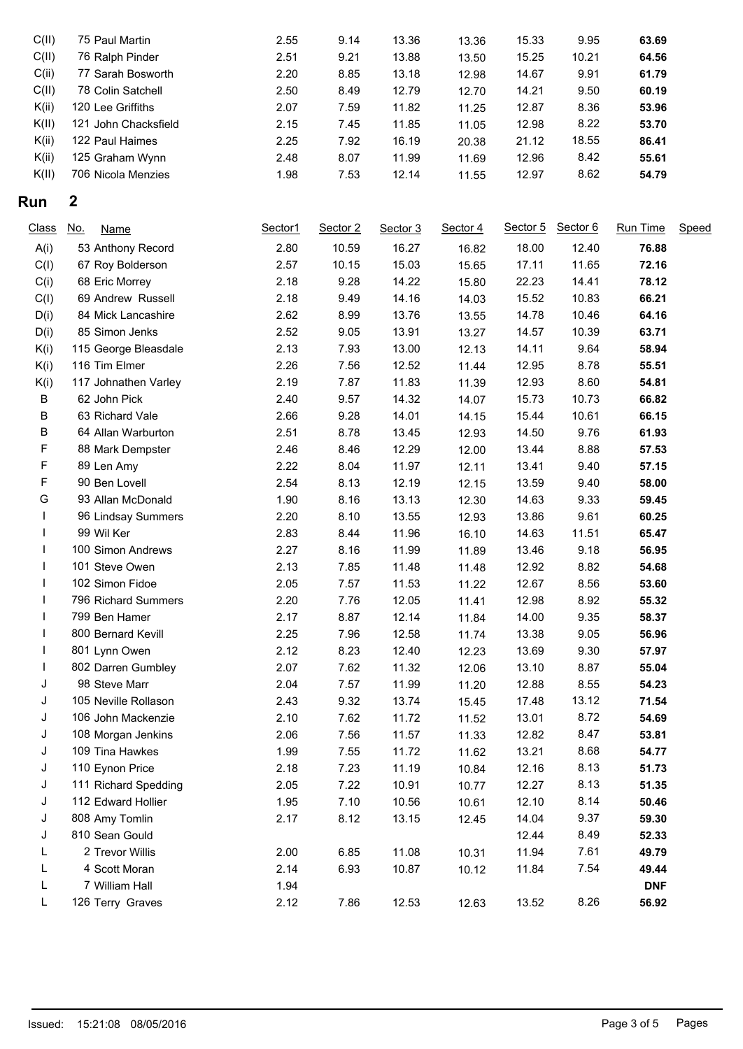| C(II) | 75 Paul Martin       | 2.55 | 9.14 | 13.36 | 13.36 | 15.33 | 9.95  | 63.69 |
|-------|----------------------|------|------|-------|-------|-------|-------|-------|
| C(II) | 76 Ralph Pinder      | 2.51 | 9.21 | 13.88 | 13.50 | 15.25 | 10.21 | 64.56 |
| C(ii) | 77 Sarah Bosworth    | 2.20 | 8.85 | 13.18 | 12.98 | 14.67 | 9.91  | 61.79 |
| C(II) | 78 Colin Satchell    | 2.50 | 8.49 | 12.79 | 12.70 | 14.21 | 9.50  | 60.19 |
| K(ii) | 120 Lee Griffiths    | 2.07 | 7.59 | 11.82 | 11.25 | 12.87 | 8.36  | 53.96 |
| K(II) | 121 John Chacksfield | 2.15 | 7.45 | 11.85 | 11.05 | 12.98 | 8.22  | 53.70 |
| K(ii) | 122 Paul Haimes      | 2.25 | 7.92 | 16.19 | 20.38 | 21.12 | 18.55 | 86.41 |
| K(ii) | 125 Graham Wynn      | 2.48 | 8.07 | 11.99 | 11.69 | 12.96 | 8.42  | 55.61 |
| K(II) | 706 Nicola Menzies   | 1.98 | 7.53 | 12.14 | 11.55 | 12.97 | 8.62  | 54.79 |

## **Run 2**

| Class | <u>No.</u><br><b>Name</b> | Sector1 | Sector 2 | Sector 3 | Sector 4 | Sector 5 | Sector 6 | Run Time   | Speed |
|-------|---------------------------|---------|----------|----------|----------|----------|----------|------------|-------|
| A(i)  | 53 Anthony Record         | 2.80    | 10.59    | 16.27    | 16.82    | 18.00    | 12.40    | 76.88      |       |
| C(I)  | 67 Roy Bolderson          | 2.57    | 10.15    | 15.03    | 15.65    | 17.11    | 11.65    | 72.16      |       |
| C(i)  | 68 Eric Morrey            | 2.18    | 9.28     | 14.22    | 15.80    | 22.23    | 14.41    | 78.12      |       |
| C(I)  | 69 Andrew Russell         | 2.18    | 9.49     | 14.16    | 14.03    | 15.52    | 10.83    | 66.21      |       |
| D(i)  | 84 Mick Lancashire        | 2.62    | 8.99     | 13.76    | 13.55    | 14.78    | 10.46    | 64.16      |       |
| D(i)  | 85 Simon Jenks            | 2.52    | 9.05     | 13.91    | 13.27    | 14.57    | 10.39    | 63.71      |       |
| K(i)  | 115 George Bleasdale      | 2.13    | 7.93     | 13.00    | 12.13    | 14.11    | 9.64     | 58.94      |       |
| K(i)  | 116 Tim Elmer             | 2.26    | 7.56     | 12.52    | 11.44    | 12.95    | 8.78     | 55.51      |       |
| K(i)  | 117 Johnathen Varley      | 2.19    | 7.87     | 11.83    | 11.39    | 12.93    | 8.60     | 54.81      |       |
| B     | 62 John Pick              | 2.40    | 9.57     | 14.32    | 14.07    | 15.73    | 10.73    | 66.82      |       |
| B     | 63 Richard Vale           | 2.66    | 9.28     | 14.01    | 14.15    | 15.44    | 10.61    | 66.15      |       |
| B     | 64 Allan Warburton        | 2.51    | 8.78     | 13.45    | 12.93    | 14.50    | 9.76     | 61.93      |       |
| F     | 88 Mark Dempster          | 2.46    | 8.46     | 12.29    | 12.00    | 13.44    | 8.88     | 57.53      |       |
| F     | 89 Len Amy                | 2.22    | 8.04     | 11.97    | 12.11    | 13.41    | 9.40     | 57.15      |       |
| F     | 90 Ben Lovell             | 2.54    | 8.13     | 12.19    | 12.15    | 13.59    | 9.40     | 58.00      |       |
| G     | 93 Allan McDonald         | 1.90    | 8.16     | 13.13    | 12.30    | 14.63    | 9.33     | 59.45      |       |
|       | 96 Lindsay Summers        | 2.20    | 8.10     | 13.55    | 12.93    | 13.86    | 9.61     | 60.25      |       |
|       | 99 Wil Ker                | 2.83    | 8.44     | 11.96    | 16.10    | 14.63    | 11.51    | 65.47      |       |
|       | 100 Simon Andrews         | 2.27    | 8.16     | 11.99    | 11.89    | 13.46    | 9.18     | 56.95      |       |
|       | 101 Steve Owen            | 2.13    | 7.85     | 11.48    | 11.48    | 12.92    | 8.82     | 54.68      |       |
|       | 102 Simon Fidoe           | 2.05    | 7.57     | 11.53    | 11.22    | 12.67    | 8.56     | 53.60      |       |
|       | 796 Richard Summers       | 2.20    | 7.76     | 12.05    | 11.41    | 12.98    | 8.92     | 55.32      |       |
|       | 799 Ben Hamer             | 2.17    | 8.87     | 12.14    | 11.84    | 14.00    | 9.35     | 58.37      |       |
|       | 800 Bernard Kevill        | 2.25    | 7.96     | 12.58    | 11.74    | 13.38    | 9.05     | 56.96      |       |
|       | 801 Lynn Owen             | 2.12    | 8.23     | 12.40    | 12.23    | 13.69    | 9.30     | 57.97      |       |
|       | 802 Darren Gumbley        | 2.07    | 7.62     | 11.32    | 12.06    | 13.10    | 8.87     | 55.04      |       |
| J     | 98 Steve Marr             | 2.04    | 7.57     | 11.99    | 11.20    | 12.88    | 8.55     | 54.23      |       |
| J     | 105 Neville Rollason      | 2.43    | 9.32     | 13.74    | 15.45    | 17.48    | 13.12    | 71.54      |       |
| J     | 106 John Mackenzie        | 2.10    | 7.62     | 11.72    | 11.52    | 13.01    | 8.72     | 54.69      |       |
| J     | 108 Morgan Jenkins        | 2.06    | 7.56     | 11.57    | 11.33    | 12.82    | 8.47     | 53.81      |       |
| J     | 109 Tina Hawkes           | 1.99    | 7.55     | 11.72    | 11.62    | 13.21    | 8.68     | 54.77      |       |
| J     | 110 Eynon Price           | 2.18    | 7.23     | 11.19    | 10.84    | 12.16    | 8.13     | 51.73      |       |
| J     | 111 Richard Spedding      | 2.05    | 7.22     | 10.91    | 10.77    | 12.27    | 8.13     | 51.35      |       |
| J     | 112 Edward Hollier        | 1.95    | 7.10     | 10.56    | 10.61    | 12.10    | 8.14     | 50.46      |       |
| J     | 808 Amy Tomlin            | 2.17    | 8.12     | 13.15    | 12.45    | 14.04    | 9.37     | 59.30      |       |
| J     | 810 Sean Gould            |         |          |          |          | 12.44    | 8.49     | 52.33      |       |
| L     | 2 Trevor Willis           | 2.00    | 6.85     | 11.08    | 10.31    | 11.94    | 7.61     | 49.79      |       |
| L     | 4 Scott Moran             | 2.14    | 6.93     | 10.87    | 10.12    | 11.84    | 7.54     | 49.44      |       |
| L     | 7 William Hall            | 1.94    |          |          |          |          |          | <b>DNF</b> |       |
| L     | 126 Terry Graves          | 2.12    | 7.86     | 12.53    | 12.63    | 13.52    | 8.26     | 56.92      |       |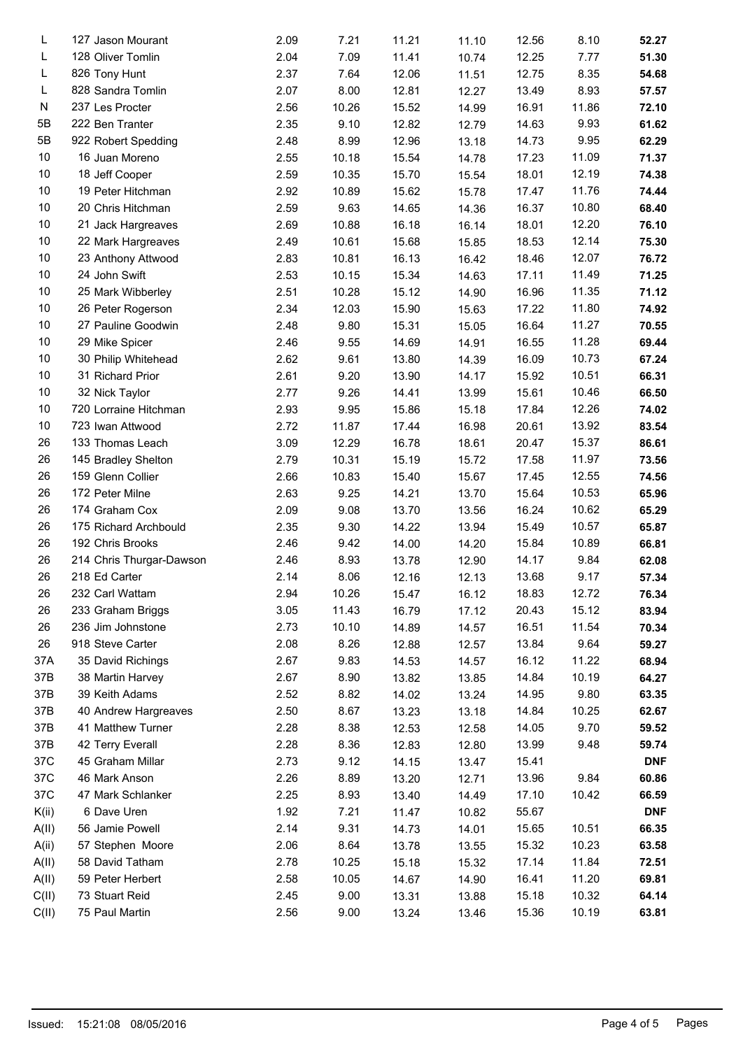| L     | 127 Jason Mourant        | 2.09 | 7.21  | 11.21 | 11.10 | 12.56 | 8.10  | 52.27      |  |
|-------|--------------------------|------|-------|-------|-------|-------|-------|------------|--|
| L     | 128 Oliver Tomlin        | 2.04 | 7.09  | 11.41 | 10.74 | 12.25 | 7.77  | 51.30      |  |
| L     | 826 Tony Hunt            | 2.37 | 7.64  | 12.06 | 11.51 | 12.75 | 8.35  | 54.68      |  |
| L     | 828 Sandra Tomlin        | 2.07 | 8.00  | 12.81 | 12.27 | 13.49 | 8.93  | 57.57      |  |
| N     | 237 Les Procter          | 2.56 | 10.26 | 15.52 | 14.99 | 16.91 | 11.86 | 72.10      |  |
| 5Β    | 222 Ben Tranter          | 2.35 | 9.10  | 12.82 | 12.79 | 14.63 | 9.93  | 61.62      |  |
| 5B    | 922 Robert Spedding      | 2.48 | 8.99  | 12.96 | 13.18 | 14.73 | 9.95  | 62.29      |  |
| 10    | 16 Juan Moreno           | 2.55 | 10.18 | 15.54 | 14.78 | 17.23 | 11.09 | 71.37      |  |
| 10    | 18 Jeff Cooper           | 2.59 | 10.35 | 15.70 | 15.54 | 18.01 | 12.19 | 74.38      |  |
| 10    | 19 Peter Hitchman        | 2.92 | 10.89 | 15.62 | 15.78 | 17.47 | 11.76 | 74.44      |  |
| 10    | 20 Chris Hitchman        | 2.59 | 9.63  | 14.65 | 14.36 | 16.37 | 10.80 | 68.40      |  |
| 10    | 21 Jack Hargreaves       | 2.69 | 10.88 | 16.18 | 16.14 | 18.01 | 12.20 | 76.10      |  |
| 10    | 22 Mark Hargreaves       | 2.49 | 10.61 | 15.68 | 15.85 | 18.53 | 12.14 | 75.30      |  |
| 10    | 23 Anthony Attwood       | 2.83 | 10.81 | 16.13 | 16.42 | 18.46 | 12.07 | 76.72      |  |
| 10    | 24 John Swift            | 2.53 | 10.15 | 15.34 | 14.63 | 17.11 | 11.49 | 71.25      |  |
| 10    | 25 Mark Wibberley        | 2.51 | 10.28 | 15.12 | 14.90 | 16.96 | 11.35 | 71.12      |  |
| 10    | 26 Peter Rogerson        | 2.34 | 12.03 | 15.90 | 15.63 | 17.22 | 11.80 | 74.92      |  |
| 10    | 27 Pauline Goodwin       | 2.48 | 9.80  | 15.31 | 15.05 | 16.64 | 11.27 | 70.55      |  |
| 10    | 29 Mike Spicer           | 2.46 | 9.55  | 14.69 | 14.91 | 16.55 | 11.28 | 69.44      |  |
| 10    | 30 Philip Whitehead      | 2.62 | 9.61  | 13.80 | 14.39 | 16.09 | 10.73 | 67.24      |  |
| 10    | 31 Richard Prior         | 2.61 | 9.20  | 13.90 | 14.17 | 15.92 | 10.51 | 66.31      |  |
| 10    | 32 Nick Taylor           | 2.77 | 9.26  | 14.41 | 13.99 | 15.61 | 10.46 | 66.50      |  |
| 10    | 720 Lorraine Hitchman    | 2.93 | 9.95  | 15.86 | 15.18 | 17.84 | 12.26 | 74.02      |  |
| 10    | 723 Iwan Attwood         | 2.72 | 11.87 | 17.44 | 16.98 | 20.61 | 13.92 | 83.54      |  |
| 26    | 133 Thomas Leach         | 3.09 | 12.29 | 16.78 | 18.61 | 20.47 | 15.37 | 86.61      |  |
| 26    | 145 Bradley Shelton      | 2.79 | 10.31 | 15.19 | 15.72 | 17.58 | 11.97 | 73.56      |  |
| 26    | 159 Glenn Collier        | 2.66 | 10.83 | 15.40 | 15.67 | 17.45 | 12.55 | 74.56      |  |
| 26    | 172 Peter Milne          | 2.63 | 9.25  | 14.21 | 13.70 | 15.64 | 10.53 | 65.96      |  |
| 26    | 174 Graham Cox           | 2.09 | 9.08  | 13.70 | 13.56 | 16.24 | 10.62 | 65.29      |  |
| 26    | 175 Richard Archbould    | 2.35 | 9.30  | 14.22 | 13.94 | 15.49 | 10.57 | 65.87      |  |
| 26    | 192 Chris Brooks         | 2.46 | 9.42  | 14.00 | 14.20 | 15.84 | 10.89 | 66.81      |  |
| 26    | 214 Chris Thurgar-Dawson | 2.46 | 8.93  | 13.78 | 12.90 | 14.17 | 9.84  | 62.08      |  |
| 26    | 218 Ed Carter            | 2.14 | 8.06  | 12.16 | 12.13 | 13.68 | 9.17  | 57.34      |  |
| 26    | 232 Carl Wattam          | 2.94 | 10.26 | 15.47 | 16.12 | 18.83 | 12.72 | 76.34      |  |
| 26    | 233 Graham Briggs        | 3.05 | 11.43 | 16.79 | 17.12 | 20.43 | 15.12 | 83.94      |  |
| 26    | 236 Jim Johnstone        | 2.73 | 10.10 | 14.89 | 14.57 | 16.51 | 11.54 | 70.34      |  |
| 26    | 918 Steve Carter         | 2.08 | 8.26  | 12.88 | 12.57 | 13.84 | 9.64  | 59.27      |  |
| 37A   | 35 David Richings        | 2.67 | 9.83  | 14.53 | 14.57 | 16.12 | 11.22 | 68.94      |  |
| 37B   | 38 Martin Harvey         | 2.67 | 8.90  | 13.82 | 13.85 | 14.84 | 10.19 | 64.27      |  |
| 37B   | 39 Keith Adams           | 2.52 | 8.82  | 14.02 | 13.24 | 14.95 | 9.80  | 63.35      |  |
| 37B   | 40 Andrew Hargreaves     | 2.50 | 8.67  | 13.23 | 13.18 | 14.84 | 10.25 | 62.67      |  |
| 37B   | 41 Matthew Turner        | 2.28 | 8.38  | 12.53 | 12.58 | 14.05 | 9.70  | 59.52      |  |
| 37B   | 42 Terry Everall         | 2.28 | 8.36  | 12.83 | 12.80 | 13.99 | 9.48  | 59.74      |  |
| 37C   | 45 Graham Millar         | 2.73 | 9.12  | 14.15 | 13.47 | 15.41 |       | <b>DNF</b> |  |
| 37C   | 46 Mark Anson            | 2.26 | 8.89  | 13.20 | 12.71 | 13.96 | 9.84  | 60.86      |  |
| 37C   | 47 Mark Schlanker        | 2.25 | 8.93  | 13.40 | 14.49 | 17.10 | 10.42 | 66.59      |  |
| K(ii) | 6 Dave Uren              | 1.92 | 7.21  | 11.47 | 10.82 | 55.67 |       | <b>DNF</b> |  |
| A(II) | 56 Jamie Powell          | 2.14 | 9.31  | 14.73 | 14.01 | 15.65 | 10.51 | 66.35      |  |
| A(ii) | 57 Stephen Moore         | 2.06 | 8.64  | 13.78 | 13.55 | 15.32 | 10.23 | 63.58      |  |
| A(II) | 58 David Tatham          | 2.78 | 10.25 | 15.18 | 15.32 | 17.14 | 11.84 | 72.51      |  |
| A(II) | 59 Peter Herbert         | 2.58 | 10.05 | 14.67 | 14.90 | 16.41 | 11.20 | 69.81      |  |
| C(II) | 73 Stuart Reid           | 2.45 | 9.00  | 13.31 | 13.88 | 15.18 | 10.32 | 64.14      |  |
| C(II) | 75 Paul Martin           | 2.56 | 9.00  | 13.24 | 13.46 | 15.36 | 10.19 | 63.81      |  |
|       |                          |      |       |       |       |       |       |            |  |